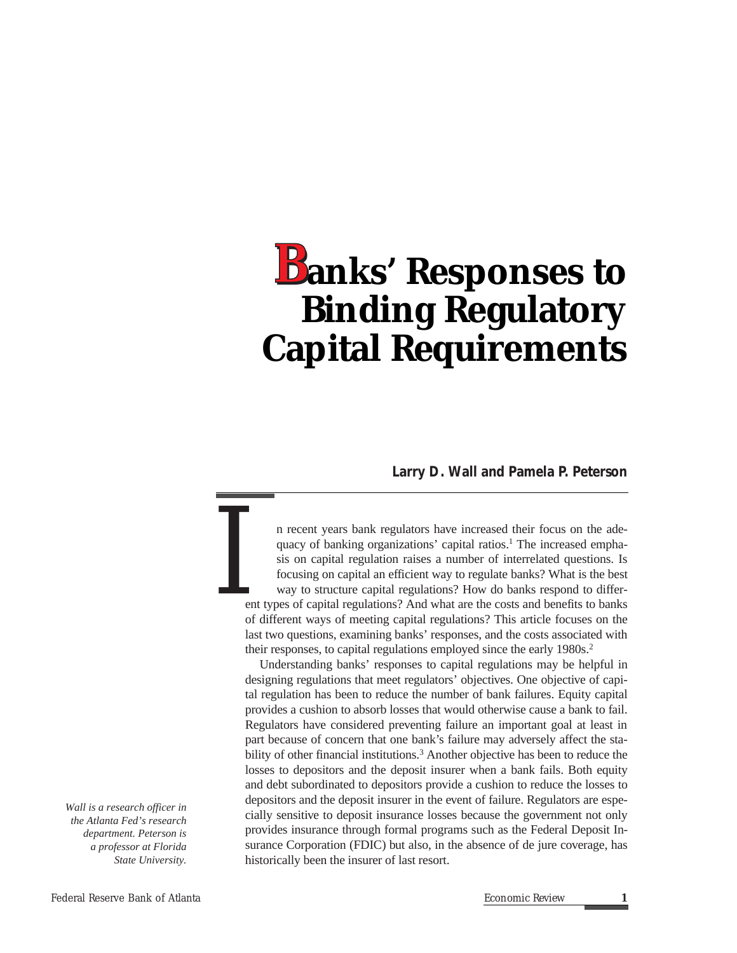# **anks' Responses to**  *B***Binding Regulatory Capital Requirements**

**Larry D. Wall and Pamela P. Peterson**

n recent years bank regulators have increased their focus on the adequacy of banking organizations' capital ratios.<sup>1</sup> The increased emphasis on capital regulation raises a number of interrelated questions. Is focusing on capital an efficient way to regulate banks? What is the best way to structure capital regulations? How do banks respond to different types of capital regulations? And what are the costs and benefits to banks of different ways of meeting capital regulations? This article focuses on the last two questions, examining banks' responses, and the costs associated with their responses, to capital regulations employed since the early 1980s.<sup>2</sup> *I*

Understanding banks' responses to capital regulations may be helpful in designing regulations that meet regulators' objectives. One objective of capital regulation has been to reduce the number of bank failures. Equity capital provides a cushion to absorb losses that would otherwise cause a bank to fail. Regulators have considered preventing failure an important goal at least in part because of concern that one bank's failure may adversely affect the stability of other financial institutions.<sup>3</sup> Another objective has been to reduce the losses to depositors and the deposit insurer when a bank fails. Both equity and debt subordinated to depositors provide a cushion to reduce the losses to depositors and the deposit insurer in the event of failure. Regulators are especially sensitive to deposit insurance losses because the government not only provides insurance through formal programs such as the Federal Deposit Insurance Corporation (FDIC) but also, in the absence of de jure coverage, has historically been the insurer of last resort.

*Wall is a research officer in the Atlanta Fed's research department. Peterson is a professor at Florida State University.*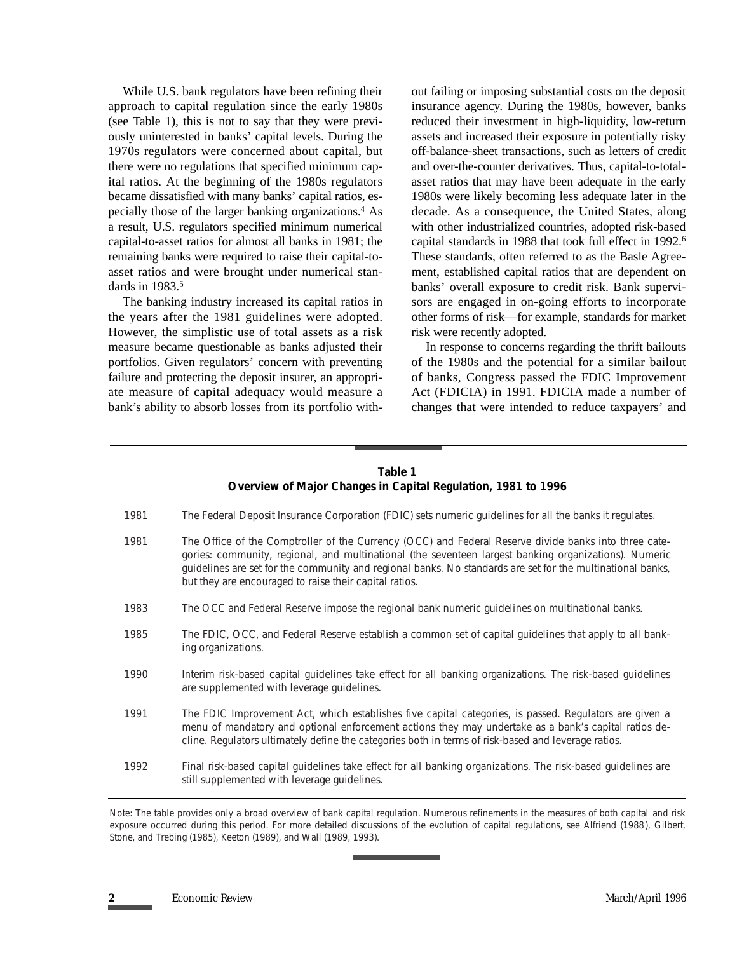While U.S. bank regulators have been refining their approach to capital regulation since the early 1980s (see Table 1), this is not to say that they were previously uninterested in banks' capital levels. During the 1970s regulators were concerned about capital, but there were no regulations that specified minimum capital ratios. At the beginning of the 1980s regulators became dissatisfied with many banks' capital ratios, especially those of the larger banking organizations.4 As a result, U.S. regulators specified minimum numerical capital-to-asset ratios for almost all banks in 1981; the remaining banks were required to raise their capital-toasset ratios and were brought under numerical standards in 1983.<sup>5</sup>

The banking industry increased its capital ratios in the years after the 1981 guidelines were adopted. However, the simplistic use of total assets as a risk measure became questionable as banks adjusted their portfolios. Given regulators' concern with preventing failure and protecting the deposit insurer, an appropriate measure of capital adequacy would measure a bank's ability to absorb losses from its portfolio without failing or imposing substantial costs on the deposit insurance agency. During the 1980s, however, banks reduced their investment in high-liquidity, low-return assets and increased their exposure in potentially risky off-balance-sheet transactions, such as letters of credit and over-the-counter derivatives. Thus, capital-to-totalasset ratios that may have been adequate in the early 1980s were likely becoming less adequate later in the decade. As a consequence, the United States, along with other industrialized countries, adopted risk-based capital standards in 1988 that took full effect in 1992.6 These standards, often referred to as the Basle Agreement, established capital ratios that are dependent on banks' overall exposure to credit risk. Bank supervisors are engaged in on-going efforts to incorporate other forms of risk—for example, standards for market risk were recently adopted.

In response to concerns regarding the thrift bailouts of the 1980s and the potential for a similar bailout of banks, Congress passed the FDIC Improvement Act (FDICIA) in 1991. FDICIA made a number of changes that were intended to reduce taxpayers' and

| rable 1<br>Overview of Major Changes in Capital Regulation, 1981 to 1996 |                                                                                                                                                                                                                                                                                                                                                                                        |
|--------------------------------------------------------------------------|----------------------------------------------------------------------------------------------------------------------------------------------------------------------------------------------------------------------------------------------------------------------------------------------------------------------------------------------------------------------------------------|
| 1981                                                                     | The Federal Deposit Insurance Corporation (FDIC) sets numeric guidelines for all the banks it regulates.                                                                                                                                                                                                                                                                               |
| 1981                                                                     | The Office of the Comptroller of the Currency (OCC) and Federal Reserve divide banks into three cate-<br>gories: community, regional, and multinational (the seventeen largest banking organizations). Numeric<br>guidelines are set for the community and regional banks. No standards are set for the multinational banks,<br>but they are encouraged to raise their capital ratios. |
| 1983                                                                     | The OCC and Federal Reserve impose the regional bank numeric guidelines on multinational banks.                                                                                                                                                                                                                                                                                        |
| 1985                                                                     | The FDIC, OCC, and Federal Reserve establish a common set of capital guidelines that apply to all bank-<br>ing organizations.                                                                                                                                                                                                                                                          |
| 1990                                                                     | Interim risk-based capital guidelines take effect for all banking organizations. The risk-based guidelines<br>are supplemented with leverage guidelines.                                                                                                                                                                                                                               |
| 1991                                                                     | The FDIC Improvement Act, which establishes five capital categories, is passed. Regulators are given a<br>menu of mandatory and optional enforcement actions they may undertake as a bank's capital ratios de-<br>cline. Regulators ultimately define the categories both in terms of risk-based and leverage ratios.                                                                  |
| 1992                                                                     | Final risk-based capital guidelines take effect for all banking organizations. The risk-based guidelines are<br>still supplemented with leverage guidelines.                                                                                                                                                                                                                           |

**Table 1**

Note: The table provides only a broad overview of bank capital regulation. Numerous refinements in the measures of both capital and risk exposure occurred during this period. For more detailed discussions of the evolution of capital regulations, see Alfriend (1988), Gilbert, Stone, and Trebing (1985), Keeton (1989), and Wall (1989, 1993).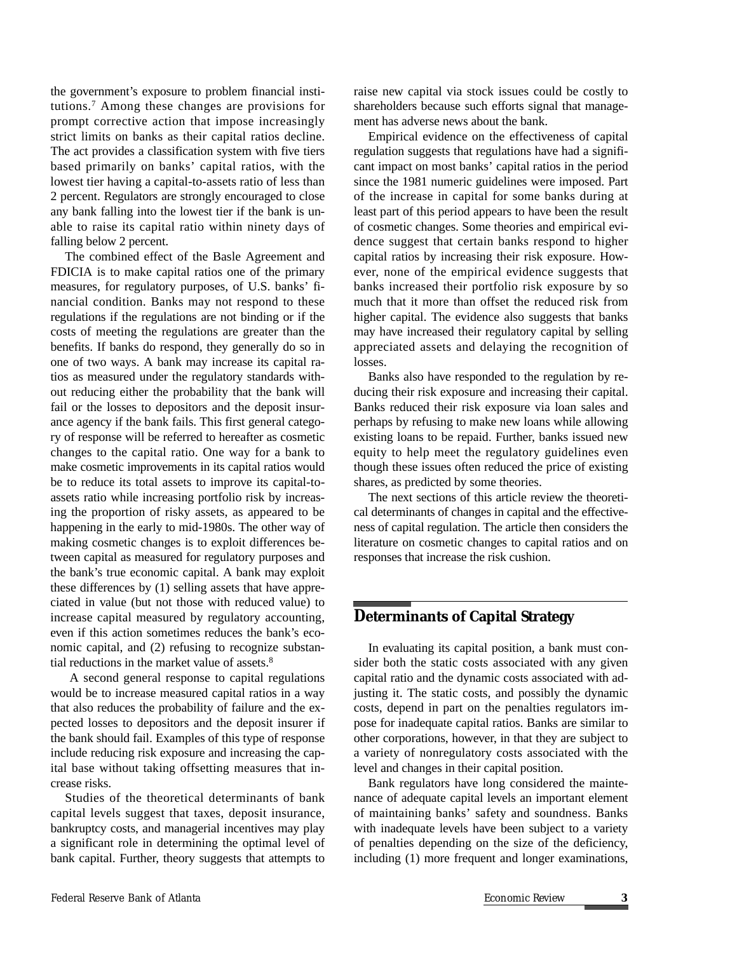the government's exposure to problem financial institutions.7 Among these changes are provisions for prompt corrective action that impose increasingly strict limits on banks as their capital ratios decline. The act provides a classification system with five tiers based primarily on banks' capital ratios, with the lowest tier having a capital-to-assets ratio of less than 2 percent. Regulators are strongly encouraged to close any bank falling into the lowest tier if the bank is unable to raise its capital ratio within ninety days of falling below 2 percent.

The combined effect of the Basle Agreement and FDICIA is to make capital ratios one of the primary measures, for regulatory purposes, of U.S. banks' financial condition. Banks may not respond to these regulations if the regulations are not binding or if the costs of meeting the regulations are greater than the benefits. If banks do respond, they generally do so in one of two ways. A bank may increase its capital ratios as measured under the regulatory standards without reducing either the probability that the bank will fail or the losses to depositors and the deposit insurance agency if the bank fails. This first general category of response will be referred to hereafter as cosmetic changes to the capital ratio. One way for a bank to make cosmetic improvements in its capital ratios would be to reduce its total assets to improve its capital-toassets ratio while increasing portfolio risk by increasing the proportion of risky assets, as appeared to be happening in the early to mid-1980s. The other way of making cosmetic changes is to exploit differences between capital as measured for regulatory purposes and the bank's true economic capital. A bank may exploit these differences by (1) selling assets that have appreciated in value (but not those with reduced value) to increase capital measured by regulatory accounting, even if this action sometimes reduces the bank's economic capital, and (2) refusing to recognize substantial reductions in the market value of assets.<sup>8</sup>

A second general response to capital regulations would be to increase measured capital ratios in a way that also reduces the probability of failure and the expected losses to depositors and the deposit insurer if the bank should fail. Examples of this type of response include reducing risk exposure and increasing the capital base without taking offsetting measures that increase risks.

Studies of the theoretical determinants of bank capital levels suggest that taxes, deposit insurance, bankruptcy costs, and managerial incentives may play a significant role in determining the optimal level of bank capital. Further, theory suggests that attempts to

raise new capital via stock issues could be costly to shareholders because such efforts signal that management has adverse news about the bank.

Empirical evidence on the effectiveness of capital regulation suggests that regulations have had a significant impact on most banks' capital ratios in the period since the 1981 numeric guidelines were imposed. Part of the increase in capital for some banks during at least part of this period appears to have been the result of cosmetic changes. Some theories and empirical evidence suggest that certain banks respond to higher capital ratios by increasing their risk exposure. However, none of the empirical evidence suggests that banks increased their portfolio risk exposure by so much that it more than offset the reduced risk from higher capital. The evidence also suggests that banks may have increased their regulatory capital by selling appreciated assets and delaying the recognition of losses.

Banks also have responded to the regulation by reducing their risk exposure and increasing their capital. Banks reduced their risk exposure via loan sales and perhaps by refusing to make new loans while allowing existing loans to be repaid. Further, banks issued new equity to help meet the regulatory guidelines even though these issues often reduced the price of existing shares, as predicted by some theories.

The next sections of this article review the theoretical determinants of changes in capital and the effectiveness of capital regulation. The article then considers the literature on cosmetic changes to capital ratios and on responses that increase the risk cushion.

#### *D***eterminants of Capital Strategy**

In evaluating its capital position, a bank must consider both the static costs associated with any given capital ratio and the dynamic costs associated with adjusting it. The static costs, and possibly the dynamic costs, depend in part on the penalties regulators impose for inadequate capital ratios. Banks are similar to other corporations, however, in that they are subject to a variety of nonregulatory costs associated with the level and changes in their capital position.

Bank regulators have long considered the maintenance of adequate capital levels an important element of maintaining banks' safety and soundness. Banks with inadequate levels have been subject to a variety of penalties depending on the size of the deficiency, including (1) more frequent and longer examinations,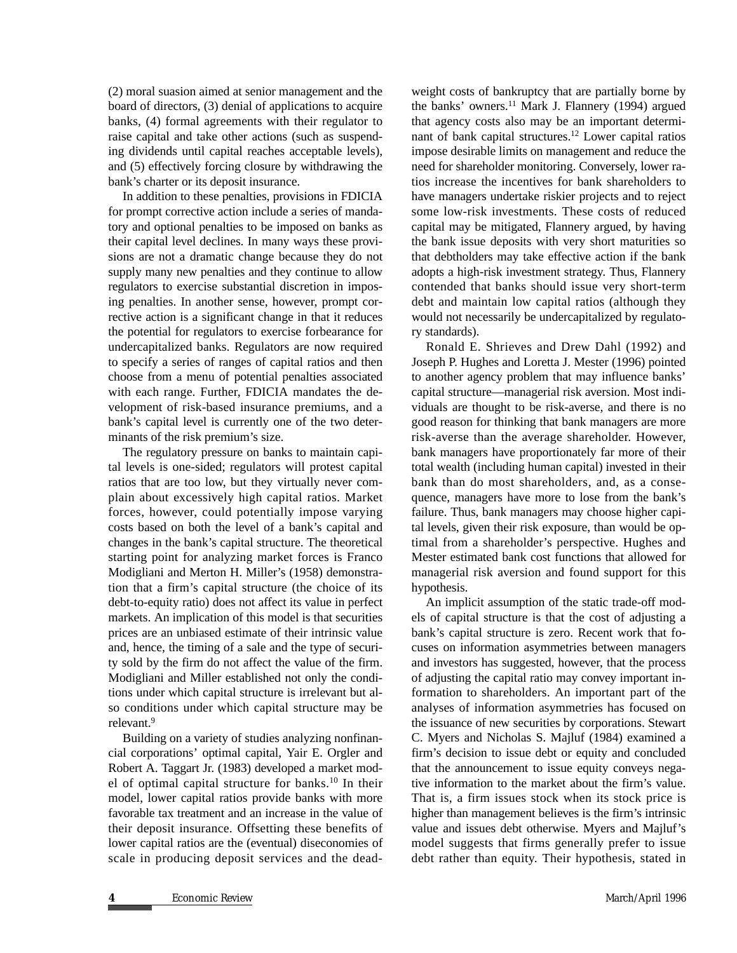(2) moral suasion aimed at senior management and the board of directors, (3) denial of applications to acquire banks, (4) formal agreements with their regulator to raise capital and take other actions (such as suspending dividends until capital reaches acceptable levels), and (5) effectively forcing closure by withdrawing the bank's charter or its deposit insurance.

In addition to these penalties, provisions in FDICIA for prompt corrective action include a series of mandatory and optional penalties to be imposed on banks as their capital level declines. In many ways these provisions are not a dramatic change because they do not supply many new penalties and they continue to allow regulators to exercise substantial discretion in imposing penalties. In another sense, however, prompt corrective action is a significant change in that it reduces the potential for regulators to exercise forbearance for undercapitalized banks. Regulators are now required to specify a series of ranges of capital ratios and then choose from a menu of potential penalties associated with each range. Further, FDICIA mandates the development of risk-based insurance premiums, and a bank's capital level is currently one of the two determinants of the risk premium's size.

The regulatory pressure on banks to maintain capital levels is one-sided; regulators will protest capital ratios that are too low, but they virtually never complain about excessively high capital ratios. Market forces, however, could potentially impose varying costs based on both the level of a bank's capital and changes in the bank's capital structure. The theoretical starting point for analyzing market forces is Franco Modigliani and Merton H. Miller's (1958) demonstration that a firm's capital structure (the choice of its debt-to-equity ratio) does not affect its value in perfect markets. An implication of this model is that securities prices are an unbiased estimate of their intrinsic value and, hence, the timing of a sale and the type of security sold by the firm do not affect the value of the firm. Modigliani and Miller established not only the conditions under which capital structure is irrelevant but also conditions under which capital structure may be relevant.9

Building on a variety of studies analyzing nonfinancial corporations' optimal capital, Yair E. Orgler and Robert A. Taggart Jr. (1983) developed a market model of optimal capital structure for banks.10 In their model, lower capital ratios provide banks with more favorable tax treatment and an increase in the value of their deposit insurance. Offsetting these benefits of lower capital ratios are the (eventual) diseconomies of scale in producing deposit services and the dead-

weight costs of bankruptcy that are partially borne by the banks' owners. $^{11}$  Mark J. Flannery (1994) argued that agency costs also may be an important determinant of bank capital structures.12 Lower capital ratios impose desirable limits on management and reduce the need for shareholder monitoring. Conversely, lower ratios increase the incentives for bank shareholders to have managers undertake riskier projects and to reject some low-risk investments. These costs of reduced capital may be mitigated, Flannery argued, by having the bank issue deposits with very short maturities so that debtholders may take effective action if the bank adopts a high-risk investment strategy. Thus, Flannery contended that banks should issue very short-term debt and maintain low capital ratios (although they would not necessarily be undercapitalized by regulatory standards).

Ronald E. Shrieves and Drew Dahl (1992) and Joseph P. Hughes and Loretta J. Mester (1996) pointed to another agency problem that may influence banks' capital structure—managerial risk aversion. Most individuals are thought to be risk-averse, and there is no good reason for thinking that bank managers are more risk-averse than the average shareholder. However, bank managers have proportionately far more of their total wealth (including human capital) invested in their bank than do most shareholders, and, as a consequence, managers have more to lose from the bank's failure. Thus, bank managers may choose higher capital levels, given their risk exposure, than would be optimal from a shareholder's perspective. Hughes and Mester estimated bank cost functions that allowed for managerial risk aversion and found support for this hypothesis.

An implicit assumption of the static trade-off models of capital structure is that the cost of adjusting a bank's capital structure is zero. Recent work that focuses on information asymmetries between managers and investors has suggested, however, that the process of adjusting the capital ratio may convey important information to shareholders. An important part of the analyses of information asymmetries has focused on the issuance of new securities by corporations. Stewart C. Myers and Nicholas S. Majluf (1984) examined a firm's decision to issue debt or equity and concluded that the announcement to issue equity conveys negative information to the market about the firm's value. That is, a firm issues stock when its stock price is higher than management believes is the firm's intrinsic value and issues debt otherwise. Myers and Majluf's model suggests that firms generally prefer to issue debt rather than equity. Their hypothesis, stated in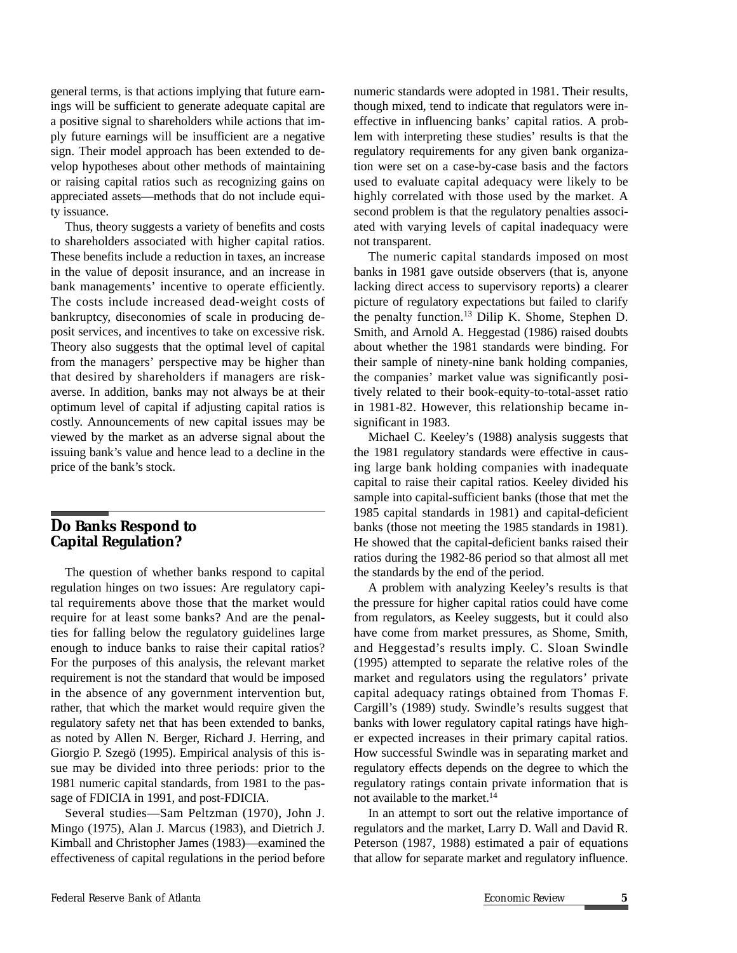general terms, is that actions implying that future earnings will be sufficient to generate adequate capital are a positive signal to shareholders while actions that imply future earnings will be insufficient are a negative sign. Their model approach has been extended to develop hypotheses about other methods of maintaining or raising capital ratios such as recognizing gains on appreciated assets—methods that do not include equity issuance.

Thus, theory suggests a variety of benefits and costs to shareholders associated with higher capital ratios. These benefits include a reduction in taxes, an increase in the value of deposit insurance, and an increase in bank managements' incentive to operate efficiently. The costs include increased dead-weight costs of bankruptcy, diseconomies of scale in producing deposit services, and incentives to take on excessive risk. Theory also suggests that the optimal level of capital from the managers' perspective may be higher than that desired by shareholders if managers are riskaverse. In addition, banks may not always be at their optimum level of capital if adjusting capital ratios is costly. Announcements of new capital issues may be viewed by the market as an adverse signal about the issuing bank's value and hence lead to a decline in the price of the bank's stock.

#### *D***o Banks Respond to Capital Regulation?**

The question of whether banks respond to capital regulation hinges on two issues: Are regulatory capital requirements above those that the market would require for at least some banks? And are the penalties for falling below the regulatory guidelines large enough to induce banks to raise their capital ratios? For the purposes of this analysis, the relevant market requirement is not the standard that would be imposed in the absence of any government intervention but, rather, that which the market would require given the regulatory safety net that has been extended to banks, as noted by Allen N. Berger, Richard J. Herring, and Giorgio P. Szegö (1995). Empirical analysis of this issue may be divided into three periods: prior to the 1981 numeric capital standards, from 1981 to the passage of FDICIA in 1991, and post-FDICIA.

Several studies—Sam Peltzman (1970), John J. Mingo (1975), Alan J. Marcus (1983), and Dietrich J. Kimball and Christopher James (1983)—examined the effectiveness of capital regulations in the period before

numeric standards were adopted in 1981. Their results, though mixed, tend to indicate that regulators were ineffective in influencing banks' capital ratios. A problem with interpreting these studies' results is that the regulatory requirements for any given bank organization were set on a case-by-case basis and the factors used to evaluate capital adequacy were likely to be highly correlated with those used by the market. A second problem is that the regulatory penalties associated with varying levels of capital inadequacy were not transparent.

The numeric capital standards imposed on most banks in 1981 gave outside observers (that is, anyone lacking direct access to supervisory reports) a clearer picture of regulatory expectations but failed to clarify the penalty function.<sup>13</sup> Dilip K. Shome, Stephen D. Smith, and Arnold A. Heggestad (1986) raised doubts about whether the 1981 standards were binding. For their sample of ninety-nine bank holding companies, the companies' market value was significantly positively related to their book-equity-to-total-asset ratio in 1981-82. However, this relationship became insignificant in 1983.

Michael C. Keeley's (1988) analysis suggests that the 1981 regulatory standards were effective in causing large bank holding companies with inadequate capital to raise their capital ratios. Keeley divided his sample into capital-sufficient banks (those that met the 1985 capital standards in 1981) and capital-deficient banks (those not meeting the 1985 standards in 1981). He showed that the capital-deficient banks raised their ratios during the 1982-86 period so that almost all met the standards by the end of the period.

A problem with analyzing Keeley's results is that the pressure for higher capital ratios could have come from regulators, as Keeley suggests, but it could also have come from market pressures, as Shome, Smith, and Heggestad's results imply. C. Sloan Swindle (1995) attempted to separate the relative roles of the market and regulators using the regulators' private capital adequacy ratings obtained from Thomas F. Cargill's (1989) study. Swindle's results suggest that banks with lower regulatory capital ratings have higher expected increases in their primary capital ratios. How successful Swindle was in separating market and regulatory effects depends on the degree to which the regulatory ratings contain private information that is not available to the market.14

In an attempt to sort out the relative importance of regulators and the market, Larry D. Wall and David R. Peterson (1987, 1988) estimated a pair of equations that allow for separate market and regulatory influence.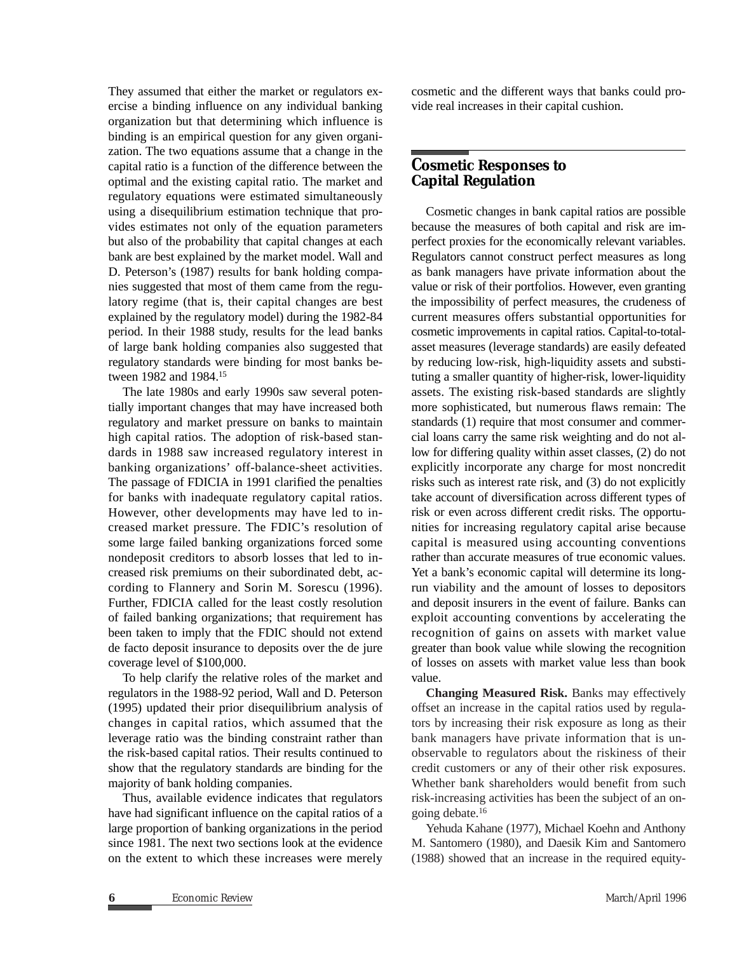They assumed that either the market or regulators exercise a binding influence on any individual banking organization but that determining which influence is binding is an empirical question for any given organization. The two equations assume that a change in the capital ratio is a function of the difference between the optimal and the existing capital ratio. The market and regulatory equations were estimated simultaneously using a disequilibrium estimation technique that provides estimates not only of the equation parameters but also of the probability that capital changes at each bank are best explained by the market model. Wall and D. Peterson's (1987) results for bank holding companies suggested that most of them came from the regulatory regime (that is, their capital changes are best explained by the regulatory model) during the 1982-84 period. In their 1988 study, results for the lead banks of large bank holding companies also suggested that regulatory standards were binding for most banks between 1982 and 1984.15

The late 1980s and early 1990s saw several potentially important changes that may have increased both regulatory and market pressure on banks to maintain high capital ratios. The adoption of risk-based standards in 1988 saw increased regulatory interest in banking organizations' off-balance-sheet activities. The passage of FDICIA in 1991 clarified the penalties for banks with inadequate regulatory capital ratios. However, other developments may have led to increased market pressure. The FDIC's resolution of some large failed banking organizations forced some nondeposit creditors to absorb losses that led to increased risk premiums on their subordinated debt, according to Flannery and Sorin M. Sorescu (1996). Further, FDICIA called for the least costly resolution of failed banking organizations; that requirement has been taken to imply that the FDIC should not extend de facto deposit insurance to deposits over the de jure coverage level of \$100,000.

To help clarify the relative roles of the market and regulators in the 1988-92 period, Wall and D. Peterson (1995) updated their prior disequilibrium analysis of changes in capital ratios, which assumed that the leverage ratio was the binding constraint rather than the risk-based capital ratios. Their results continued to show that the regulatory standards are binding for the majority of bank holding companies.

Thus, available evidence indicates that regulators have had significant influence on the capital ratios of a large proportion of banking organizations in the period since 1981. The next two sections look at the evidence on the extent to which these increases were merely cosmetic and the different ways that banks could provide real increases in their capital cushion.

### *C***osmetic Responses to Capital Regulation**

Cosmetic changes in bank capital ratios are possible because the measures of both capital and risk are imperfect proxies for the economically relevant variables. Regulators cannot construct perfect measures as long as bank managers have private information about the value or risk of their portfolios. However, even granting the impossibility of perfect measures, the crudeness of current measures offers substantial opportunities for cosmetic improvements in capital ratios. Capital-to-totalasset measures (leverage standards) are easily defeated by reducing low-risk, high-liquidity assets and substituting a smaller quantity of higher-risk, lower-liquidity assets. The existing risk-based standards are slightly more sophisticated, but numerous flaws remain: The standards (1) require that most consumer and commercial loans carry the same risk weighting and do not allow for differing quality within asset classes, (2) do not explicitly incorporate any charge for most noncredit risks such as interest rate risk, and (3) do not explicitly take account of diversification across different types of risk or even across different credit risks. The opportunities for increasing regulatory capital arise because capital is measured using accounting conventions rather than accurate measures of true economic values. Yet a bank's economic capital will determine its longrun viability and the amount of losses to depositors and deposit insurers in the event of failure. Banks can exploit accounting conventions by accelerating the recognition of gains on assets with market value greater than book value while slowing the recognition of losses on assets with market value less than book value.

**Changing Measured Risk.** Banks may effectively offset an increase in the capital ratios used by regulators by increasing their risk exposure as long as their bank managers have private information that is unobservable to regulators about the riskiness of their credit customers or any of their other risk exposures. Whether bank shareholders would benefit from such risk-increasing activities has been the subject of an ongoing debate. 16

Yehuda Kahane (1977), Michael Koehn and Anthony M. Santomero (1980), and Daesik Kim and Santomero (1988) showed that an increase in the required equity-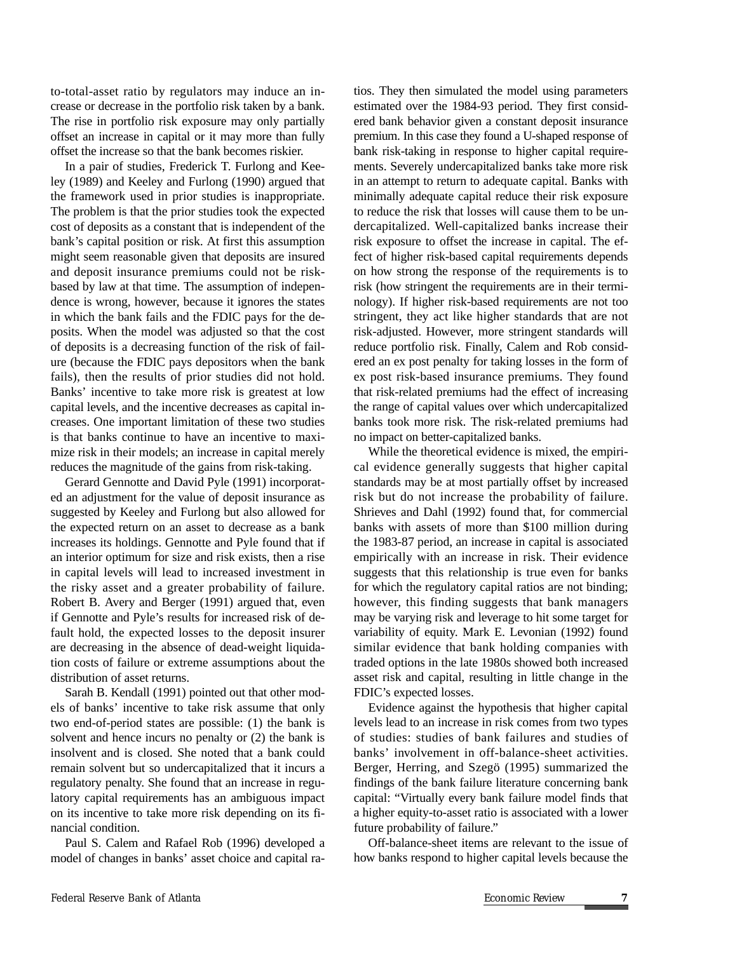to-total-asset ratio by regulators may induce an increase or decrease in the portfolio risk taken by a bank. The rise in portfolio risk exposure may only partially offset an increase in capital or it may more than fully offset the increase so that the bank becomes riskier.

In a pair of studies, Frederick T. Furlong and Keeley (1989) and Keeley and Furlong (1990) argued that the framework used in prior studies is inappropriate. The problem is that the prior studies took the expected cost of deposits as a constant that is independent of the bank's capital position or risk. At first this assumption might seem reasonable given that deposits are insured and deposit insurance premiums could not be riskbased by law at that time. The assumption of independence is wrong, however, because it ignores the states in which the bank fails and the FDIC pays for the deposits. When the model was adjusted so that the cost of deposits is a decreasing function of the risk of failure (because the FDIC pays depositors when the bank fails), then the results of prior studies did not hold. Banks' incentive to take more risk is greatest at low capital levels, and the incentive decreases as capital increases. One important limitation of these two studies is that banks continue to have an incentive to maximize risk in their models; an increase in capital merely reduces the magnitude of the gains from risk-taking.

Gerard Gennotte and David Pyle (1991) incorporated an adjustment for the value of deposit insurance as suggested by Keeley and Furlong but also allowed for the expected return on an asset to decrease as a bank increases its holdings. Gennotte and Pyle found that if an interior optimum for size and risk exists, then a rise in capital levels will lead to increased investment in the risky asset and a greater probability of failure. Robert B. Avery and Berger (1991) argued that, even if Gennotte and Pyle's results for increased risk of default hold, the expected losses to the deposit insurer are decreasing in the absence of dead-weight liquidation costs of failure or extreme assumptions about the distribution of asset returns.

Sarah B. Kendall (1991) pointed out that other models of banks' incentive to take risk assume that only two end-of-period states are possible: (1) the bank is solvent and hence incurs no penalty or (2) the bank is insolvent and is closed. She noted that a bank could remain solvent but so undercapitalized that it incurs a regulatory penalty. She found that an increase in regulatory capital requirements has an ambiguous impact on its incentive to take more risk depending on its financial condition.

Paul S. Calem and Rafael Rob (1996) developed a model of changes in banks' asset choice and capital ra-

tios. They then simulated the model using parameters estimated over the 1984-93 period. They first considered bank behavior given a constant deposit insurance premium. In this case they found a U-shaped response of bank risk-taking in response to higher capital requirements. Severely undercapitalized banks take more risk in an attempt to return to adequate capital. Banks with minimally adequate capital reduce their risk exposure to reduce the risk that losses will cause them to be undercapitalized. Well-capitalized banks increase their risk exposure to offset the increase in capital. The effect of higher risk-based capital requirements depends on how strong the response of the requirements is to risk (how stringent the requirements are in their terminology). If higher risk-based requirements are not too stringent, they act like higher standards that are not risk-adjusted. However, more stringent standards will reduce portfolio risk. Finally, Calem and Rob considered an ex post penalty for taking losses in the form of ex post risk-based insurance premiums. They found that risk-related premiums had the effect of increasing the range of capital values over which undercapitalized banks took more risk. The risk-related premiums had no impact on better-capitalized banks.

While the theoretical evidence is mixed, the empirical evidence generally suggests that higher capital standards may be at most partially offset by increased risk but do not increase the probability of failure. Shrieves and Dahl (1992) found that, for commercial banks with assets of more than \$100 million during the 1983-87 period, an increase in capital is associated empirically with an increase in risk. Their evidence suggests that this relationship is true even for banks for which the regulatory capital ratios are not binding; however, this finding suggests that bank managers may be varying risk and leverage to hit some target for variability of equity. Mark E. Levonian (1992) found similar evidence that bank holding companies with traded options in the late 1980s showed both increased asset risk and capital, resulting in little change in the FDIC's expected losses.

Evidence against the hypothesis that higher capital levels lead to an increase in risk comes from two types of studies: studies of bank failures and studies of banks' involvement in off-balance-sheet activities. Berger, Herring, and Szegö (1995) summarized the findings of the bank failure literature concerning bank capital: "Virtually every bank failure model finds that a higher equity-to-asset ratio is associated with a lower future probability of failure."

Off-balance-sheet items are relevant to the issue of how banks respond to higher capital levels because the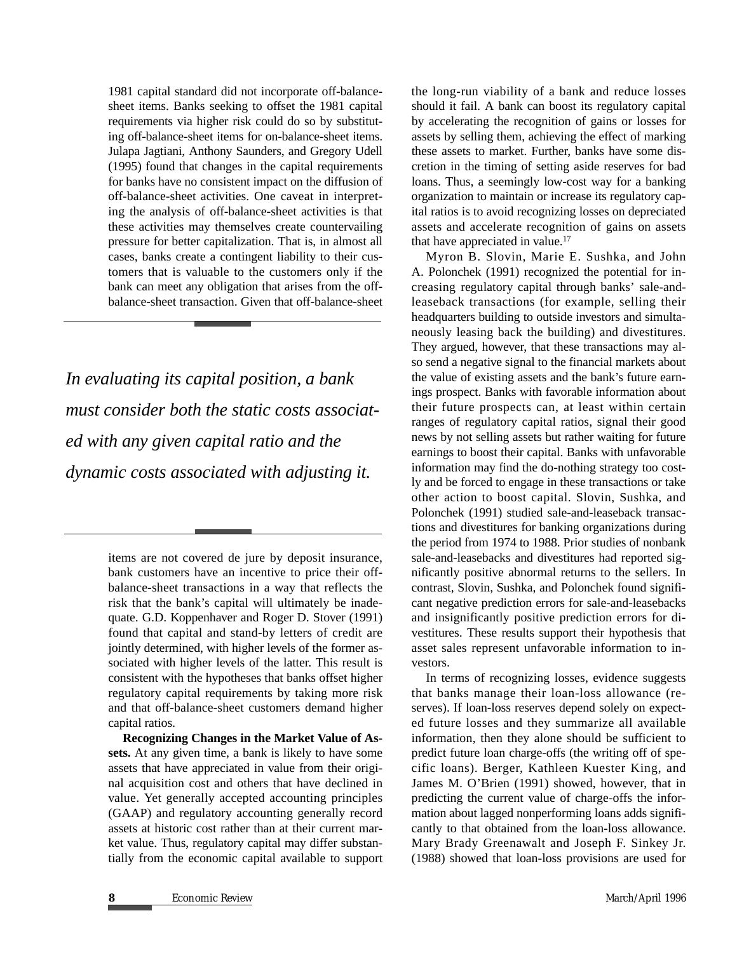1981 capital standard did not incorporate off-balancesheet items. Banks seeking to offset the 1981 capital requirements via higher risk could do so by substituting off-balance-sheet items for on-balance-sheet items. Julapa Jagtiani, Anthony Saunders, and Gregory Udell (1995) found that changes in the capital requirements for banks have no consistent impact on the diffusion of off-balance-sheet activities. One caveat in interpreting the analysis of off-balance-sheet activities is that these activities may themselves create countervailing pressure for better capitalization. That is, in almost all cases, banks create a contingent liability to their customers that is valuable to the customers only if the bank can meet any obligation that arises from the offbalance-sheet transaction. Given that off-balance-sheet

*In evaluating its capital position, a bank must consider both the static costs associated with any given capital ratio and the dynamic costs associated with adjusting it.*

> items are not covered de jure by deposit insurance, bank customers have an incentive to price their offbalance-sheet transactions in a way that reflects the risk that the bank's capital will ultimately be inadequate. G.D. Koppenhaver and Roger D. Stover (1991) found that capital and stand-by letters of credit are jointly determined, with higher levels of the former associated with higher levels of the latter. This result is consistent with the hypotheses that banks offset higher regulatory capital requirements by taking more risk and that off-balance-sheet customers demand higher capital ratios.

> **Recognizing Changes in the Market Value of Assets.** At any given time, a bank is likely to have some assets that have appreciated in value from their original acquisition cost and others that have declined in value. Yet generally accepted accounting principles (GAAP) and regulatory accounting generally record assets at historic cost rather than at their current market value. Thus, regulatory capital may differ substantially from the economic capital available to support

the long-run viability of a bank and reduce losses should it fail. A bank can boost its regulatory capital by accelerating the recognition of gains or losses for assets by selling them, achieving the effect of marking these assets to market. Further, banks have some discretion in the timing of setting aside reserves for bad loans. Thus, a seemingly low-cost way for a banking organization to maintain or increase its regulatory capital ratios is to avoid recognizing losses on depreciated assets and accelerate recognition of gains on assets that have appreciated in value. 17

Myron B. Slovin, Marie E. Sushka, and John A. Polonchek (1991) recognized the potential for increasing regulatory capital through banks' sale-andleaseback transactions (for example, selling their headquarters building to outside investors and simultaneously leasing back the building) and divestitures. They argued, however, that these transactions may also send a negative signal to the financial markets about the value of existing assets and the bank's future earnings prospect. Banks with favorable information about their future prospects can, at least within certain ranges of regulatory capital ratios, signal their good news by not selling assets but rather waiting for future earnings to boost their capital. Banks with unfavorable information may find the do-nothing strategy too costly and be forced to engage in these transactions or take other action to boost capital. Slovin, Sushka, and Polonchek (1991) studied sale-and-leaseback transactions and divestitures for banking organizations during the period from 1974 to 1988. Prior studies of nonbank sale-and-leasebacks and divestitures had reported significantly positive abnormal returns to the sellers. In contrast, Slovin, Sushka, and Polonchek found significant negative prediction errors for sale-and-leasebacks and insignificantly positive prediction errors for divestitures. These results support their hypothesis that asset sales represent unfavorable information to investors.

In terms of recognizing losses, evidence suggests that banks manage their loan-loss allowance (reserves). If loan-loss reserves depend solely on expected future losses and they summarize all available information, then they alone should be sufficient to predict future loan charge-offs (the writing off of specific loans). Berger, Kathleen Kuester King, and James M. O'Brien (1991) showed, however, that in predicting the current value of charge-offs the information about lagged nonperforming loans adds significantly to that obtained from the loan-loss allowance. Mary Brady Greenawalt and Joseph F. Sinkey Jr. (1988) showed that loan-loss provisions are used for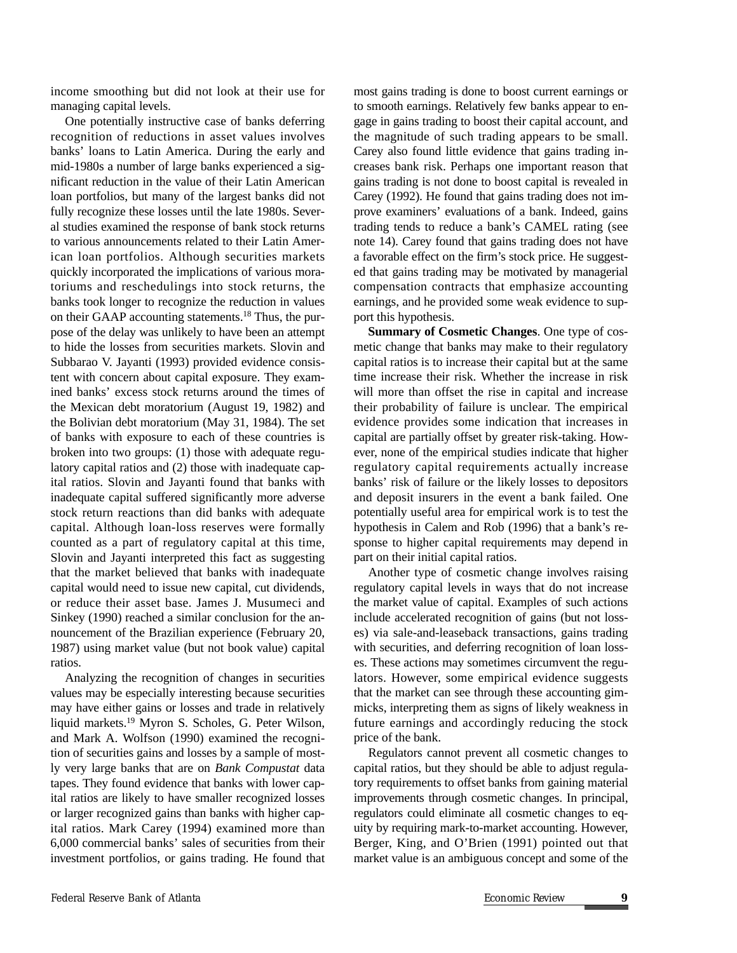income smoothing but did not look at their use for managing capital levels.

One potentially instructive case of banks deferring recognition of reductions in asset values involves banks' loans to Latin America. During the early and mid-1980s a number of large banks experienced a significant reduction in the value of their Latin American loan portfolios, but many of the largest banks did not fully recognize these losses until the late 1980s. Several studies examined the response of bank stock returns to various announcements related to their Latin American loan portfolios. Although securities markets quickly incorporated the implications of various moratoriums and reschedulings into stock returns, the banks took longer to recognize the reduction in values on their GAAP accounting statements.18 Thus, the purpose of the delay was unlikely to have been an attempt to hide the losses from securities markets. Slovin and Subbarao V. Jayanti (1993) provided evidence consistent with concern about capital exposure. They examined banks' excess stock returns around the times of the Mexican debt moratorium (August 19, 1982) and the Bolivian debt moratorium (May 31, 1984). The set of banks with exposure to each of these countries is broken into two groups: (1) those with adequate regulatory capital ratios and (2) those with inadequate capital ratios. Slovin and Jayanti found that banks with inadequate capital suffered significantly more adverse stock return reactions than did banks with adequate capital. Although loan-loss reserves were formally counted as a part of regulatory capital at this time, Slovin and Jayanti interpreted this fact as suggesting that the market believed that banks with inadequate capital would need to issue new capital, cut dividends, or reduce their asset base. James J. Musumeci and Sinkey (1990) reached a similar conclusion for the announcement of the Brazilian experience (February 20, 1987) using market value (but not book value) capital ratios.

Analyzing the recognition of changes in securities values may be especially interesting because securities may have either gains or losses and trade in relatively liquid markets.19 Myron S. Scholes, G. Peter Wilson, and Mark A. Wolfson (1990) examined the recognition of securities gains and losses by a sample of mostly very large banks that are on *Bank Compustat* data tapes. They found evidence that banks with lower capital ratios are likely to have smaller recognized losses or larger recognized gains than banks with higher capital ratios. Mark Carey (1994) examined more than 6,000 commercial banks' sales of securities from their investment portfolios, or gains trading. He found that

most gains trading is done to boost current earnings or to smooth earnings. Relatively few banks appear to engage in gains trading to boost their capital account, and the magnitude of such trading appears to be small. Carey also found little evidence that gains trading increases bank risk. Perhaps one important reason that gains trading is not done to boost capital is revealed in Carey (1992). He found that gains trading does not improve examiners' evaluations of a bank. Indeed, gains trading tends to reduce a bank's CAMEL rating (see note 14). Carey found that gains trading does not have a favorable effect on the firm's stock price. He suggested that gains trading may be motivated by managerial compensation contracts that emphasize accounting earnings, and he provided some weak evidence to support this hypothesis.

**Summary of Cosmetic Changes**. One type of cosmetic change that banks may make to their regulatory capital ratios is to increase their capital but at the same time increase their risk. Whether the increase in risk will more than offset the rise in capital and increase their probability of failure is unclear. The empirical evidence provides some indication that increases in capital are partially offset by greater risk-taking. However, none of the empirical studies indicate that higher regulatory capital requirements actually increase banks' risk of failure or the likely losses to depositors and deposit insurers in the event a bank failed. One potentially useful area for empirical work is to test the hypothesis in Calem and Rob (1996) that a bank's response to higher capital requirements may depend in part on their initial capital ratios.

Another type of cosmetic change involves raising regulatory capital levels in ways that do not increase the market value of capital. Examples of such actions include accelerated recognition of gains (but not losses) via sale-and-leaseback transactions, gains trading with securities, and deferring recognition of loan losses. These actions may sometimes circumvent the regulators. However, some empirical evidence suggests that the market can see through these accounting gimmicks, interpreting them as signs of likely weakness in future earnings and accordingly reducing the stock price of the bank.

Regulators cannot prevent all cosmetic changes to capital ratios, but they should be able to adjust regulatory requirements to offset banks from gaining material improvements through cosmetic changes. In principal, regulators could eliminate all cosmetic changes to equity by requiring mark-to-market accounting. However, Berger, King, and O'Brien (1991) pointed out that market value is an ambiguous concept and some of the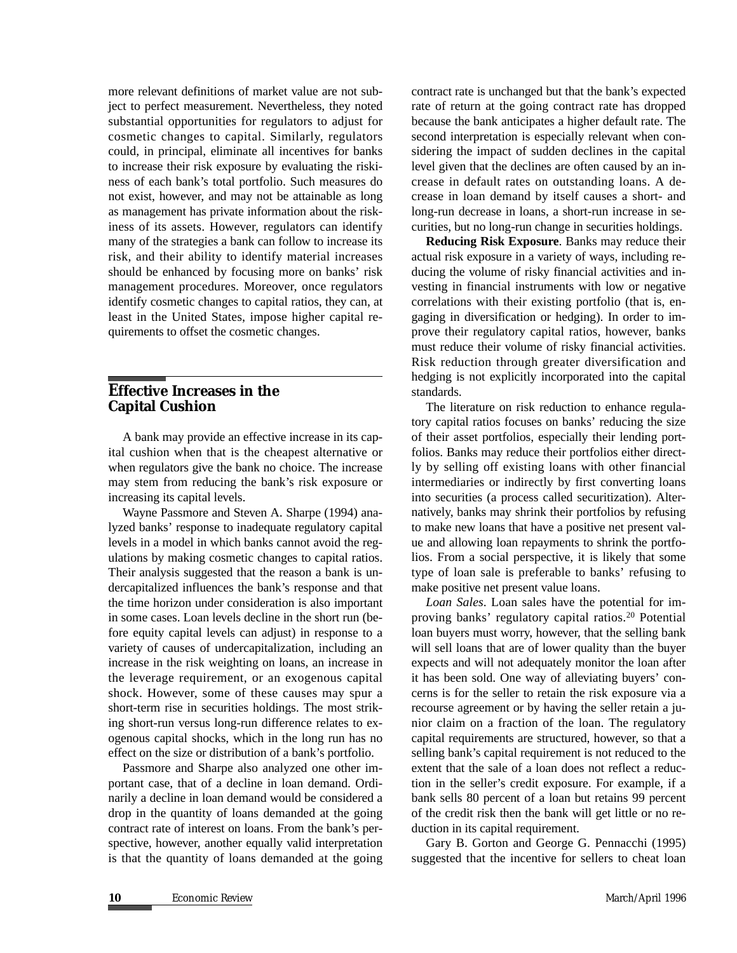more relevant definitions of market value are not subject to perfect measurement. Nevertheless, they noted substantial opportunities for regulators to adjust for cosmetic changes to capital. Similarly, regulators could, in principal, eliminate all incentives for banks to increase their risk exposure by evaluating the riskiness of each bank's total portfolio. Such measures do not exist, however, and may not be attainable as long as management has private information about the riskiness of its assets. However, regulators can identify many of the strategies a bank can follow to increase its risk, and their ability to identify material increases should be enhanced by focusing more on banks' risk management procedures. Moreover, once regulators identify cosmetic changes to capital ratios, they can, at least in the United States, impose higher capital requirements to offset the cosmetic changes.

### *E***ffective Increases in the Capital Cushion**

A bank may provide an effective increase in its capital cushion when that is the cheapest alternative or when regulators give the bank no choice. The increase may stem from reducing the bank's risk exposure or increasing its capital levels.

Wayne Passmore and Steven A. Sharpe (1994) analyzed banks' response to inadequate regulatory capital levels in a model in which banks cannot avoid the regulations by making cosmetic changes to capital ratios. Their analysis suggested that the reason a bank is undercapitalized influences the bank's response and that the time horizon under consideration is also important in some cases. Loan levels decline in the short run (before equity capital levels can adjust) in response to a variety of causes of undercapitalization, including an increase in the risk weighting on loans, an increase in the leverage requirement, or an exogenous capital shock. However, some of these causes may spur a short-term rise in securities holdings. The most striking short-run versus long-run difference relates to exogenous capital shocks, which in the long run has no effect on the size or distribution of a bank's portfolio.

Passmore and Sharpe also analyzed one other important case, that of a decline in loan demand. Ordinarily a decline in loan demand would be considered a drop in the quantity of loans demanded at the going contract rate of interest on loans. From the bank's perspective, however, another equally valid interpretation is that the quantity of loans demanded at the going

contract rate is unchanged but that the bank's expected rate of return at the going contract rate has dropped because the bank anticipates a higher default rate. The second interpretation is especially relevant when considering the impact of sudden declines in the capital level given that the declines are often caused by an increase in default rates on outstanding loans. A decrease in loan demand by itself causes a short- and long-run decrease in loans, a short-run increase in securities, but no long-run change in securities holdings.

**Reducing Risk Exposure**. Banks may reduce their actual risk exposure in a variety of ways, including reducing the volume of risky financial activities and investing in financial instruments with low or negative correlations with their existing portfolio (that is, engaging in diversification or hedging). In order to improve their regulatory capital ratios, however, banks must reduce their volume of risky financial activities. Risk reduction through greater diversification and hedging is not explicitly incorporated into the capital standards.

The literature on risk reduction to enhance regulatory capital ratios focuses on banks' reducing the size of their asset portfolios, especially their lending portfolios. Banks may reduce their portfolios either directly by selling off existing loans with other financial intermediaries or indirectly by first converting loans into securities (a process called securitization). Alternatively, banks may shrink their portfolios by refusing to make new loans that have a positive net present value and allowing loan repayments to shrink the portfolios. From a social perspective, it is likely that some type of loan sale is preferable to banks' refusing to make positive net present value loans.

*Loan Sales*. Loan sales have the potential for improving banks' regulatory capital ratios.20 Potential loan buyers must worry, however, that the selling bank will sell loans that are of lower quality than the buyer expects and will not adequately monitor the loan after it has been sold. One way of alleviating buyers' concerns is for the seller to retain the risk exposure via a recourse agreement or by having the seller retain a junior claim on a fraction of the loan. The regulatory capital requirements are structured, however, so that a selling bank's capital requirement is not reduced to the extent that the sale of a loan does not reflect a reduction in the seller's credit exposure. For example, if a bank sells 80 percent of a loan but retains 99 percent of the credit risk then the bank will get little or no reduction in its capital requirement.

Gary B. Gorton and George G. Pennacchi (1995) suggested that the incentive for sellers to cheat loan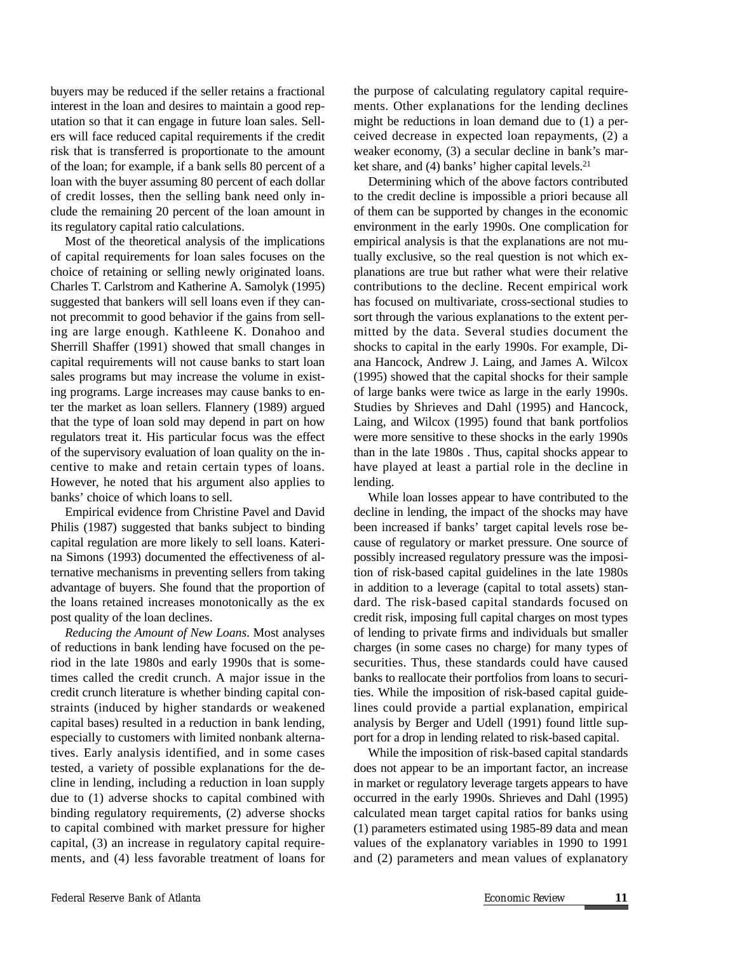buyers may be reduced if the seller retains a fractional interest in the loan and desires to maintain a good reputation so that it can engage in future loan sales. Sellers will face reduced capital requirements if the credit risk that is transferred is proportionate to the amount of the loan; for example, if a bank sells 80 percent of a loan with the buyer assuming 80 percent of each dollar of credit losses, then the selling bank need only include the remaining 20 percent of the loan amount in its regulatory capital ratio calculations.

Most of the theoretical analysis of the implications of capital requirements for loan sales focuses on the choice of retaining or selling newly originated loans. Charles T. Carlstrom and Katherine A. Samolyk (1995) suggested that bankers will sell loans even if they cannot precommit to good behavior if the gains from selling are large enough. Kathleene K. Donahoo and Sherrill Shaffer (1991) showed that small changes in capital requirements will not cause banks to start loan sales programs but may increase the volume in existing programs. Large increases may cause banks to enter the market as loan sellers. Flannery (1989) argued that the type of loan sold may depend in part on how regulators treat it. His particular focus was the effect of the supervisory evaluation of loan quality on the incentive to make and retain certain types of loans. However, he noted that his argument also applies to banks' choice of which loans to sell.

Empirical evidence from Christine Pavel and David Philis (1987) suggested that banks subject to binding capital regulation are more likely to sell loans. Katerina Simons (1993) documented the effectiveness of alternative mechanisms in preventing sellers from taking advantage of buyers. She found that the proportion of the loans retained increases monotonically as the ex post quality of the loan declines.

*Reducing the Amount of New Loans*. Most analyses of reductions in bank lending have focused on the period in the late 1980s and early 1990s that is sometimes called the credit crunch. A major issue in the credit crunch literature is whether binding capital constraints (induced by higher standards or weakened capital bases) resulted in a reduction in bank lending, especially to customers with limited nonbank alternatives. Early analysis identified, and in some cases tested, a variety of possible explanations for the decline in lending, including a reduction in loan supply due to (1) adverse shocks to capital combined with binding regulatory requirements, (2) adverse shocks to capital combined with market pressure for higher capital, (3) an increase in regulatory capital requirements, and (4) less favorable treatment of loans for

the purpose of calculating regulatory capital requirements. Other explanations for the lending declines might be reductions in loan demand due to (1) a perceived decrease in expected loan repayments, (2) a weaker economy, (3) a secular decline in bank's market share, and  $(4)$  banks' higher capital levels.<sup>21</sup>

Determining which of the above factors contributed to the credit decline is impossible a priori because all of them can be supported by changes in the economic environment in the early 1990s. One complication for empirical analysis is that the explanations are not mutually exclusive, so the real question is not which explanations are true but rather what were their relative contributions to the decline. Recent empirical work has focused on multivariate, cross-sectional studies to sort through the various explanations to the extent permitted by the data. Several studies document the shocks to capital in the early 1990s. For example, Diana Hancock, Andrew J. Laing, and James A. Wilcox (1995) showed that the capital shocks for their sample of large banks were twice as large in the early 1990s. Studies by Shrieves and Dahl (1995) and Hancock, Laing, and Wilcox (1995) found that bank portfolios were more sensitive to these shocks in the early 1990s than in the late 1980s . Thus, capital shocks appear to have played at least a partial role in the decline in lending.

While loan losses appear to have contributed to the decline in lending, the impact of the shocks may have been increased if banks' target capital levels rose because of regulatory or market pressure. One source of possibly increased regulatory pressure was the imposition of risk-based capital guidelines in the late 1980s in addition to a leverage (capital to total assets) standard. The risk-based capital standards focused on credit risk, imposing full capital charges on most types of lending to private firms and individuals but smaller charges (in some cases no charge) for many types of securities. Thus, these standards could have caused banks to reallocate their portfolios from loans to securities. While the imposition of risk-based capital guidelines could provide a partial explanation, empirical analysis by Berger and Udell (1991) found little support for a drop in lending related to risk-based capital.

While the imposition of risk-based capital standards does not appear to be an important factor, an increase in market or regulatory leverage targets appears to have occurred in the early 1990s. Shrieves and Dahl (1995) calculated mean target capital ratios for banks using (1) parameters estimated using 1985-89 data and mean values of the explanatory variables in 1990 to 1991 and (2) parameters and mean values of explanatory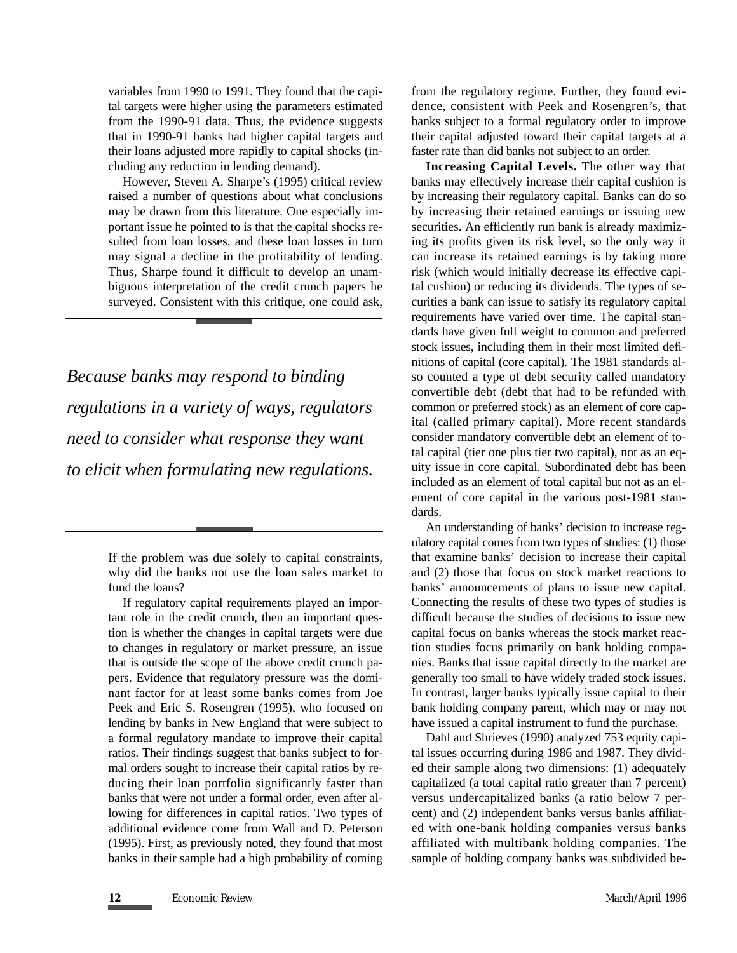variables from 1990 to 1991. They found that the capital targets were higher using the parameters estimated from the 1990-91 data. Thus, the evidence suggests that in 1990-91 banks had higher capital targets and their loans adjusted more rapidly to capital shocks (including any reduction in lending demand).

However, Steven A. Sharpe's (1995) critical review raised a number of questions about what conclusions may be drawn from this literature. One especially important issue he pointed to is that the capital shocks resulted from loan losses, and these loan losses in turn may signal a decline in the profitability of lending. Thus, Sharpe found it difficult to develop an unambiguous interpretation of the credit crunch papers he surveyed. Consistent with this critique, one could ask,

*Because banks may respond to binding regulations in a variety of ways, regulators need to consider what response they want to elicit when formulating new regulations.*

from the regulatory regime. Further, they found evidence, consistent with Peek and Rosengren's, that banks subject to a formal regulatory order to improve their capital adjusted toward their capital targets at a faster rate than did banks not subject to an order.

**Increasing Capital Levels.** The other way that banks may effectively increase their capital cushion is by increasing their regulatory capital. Banks can do so by increasing their retained earnings or issuing new securities. An efficiently run bank is already maximizing its profits given its risk level, so the only way it can increase its retained earnings is by taking more risk (which would initially decrease its effective capital cushion) or reducing its dividends. The types of securities a bank can issue to satisfy its regulatory capital requirements have varied over time. The capital standards have given full weight to common and preferred stock issues, including them in their most limited definitions of capital (core capital). The 1981 standards also counted a type of debt security called mandatory convertible debt (debt that had to be refunded with common or preferred stock) as an element of core capital (called primary capital). More recent standards consider mandatory convertible debt an element of total capital (tier one plus tier two capital), not as an equity issue in core capital. Subordinated debt has been included as an element of total capital but not as an element of core capital in the various post-1981 standards.

An understanding of banks' decision to increase regulatory capital comes from two types of studies: (1) those that examine banks' decision to increase their capital and (2) those that focus on stock market reactions to banks' announcements of plans to issue new capital. Connecting the results of these two types of studies is difficult because the studies of decisions to issue new capital focus on banks whereas the stock market reaction studies focus primarily on bank holding companies. Banks that issue capital directly to the market are generally too small to have widely traded stock issues. In contrast, larger banks typically issue capital to their bank holding company parent, which may or may not have issued a capital instrument to fund the purchase.

Dahl and Shrieves (1990) analyzed 753 equity capital issues occurring during 1986 and 1987. They divided their sample along two dimensions: (1) adequately capitalized (a total capital ratio greater than 7 percent) versus undercapitalized banks (a ratio below 7 percent) and (2) independent banks versus banks affiliated with one-bank holding companies versus banks affiliated with multibank holding companies. The sample of holding company banks was subdivided be-

If the problem was due solely to capital constraints, why did the banks not use the loan sales market to fund the loans?

If regulatory capital requirements played an important role in the credit crunch, then an important question is whether the changes in capital targets were due to changes in regulatory or market pressure, an issue that is outside the scope of the above credit crunch papers. Evidence that regulatory pressure was the dominant factor for at least some banks comes from Joe Peek and Eric S. Rosengren (1995), who focused on lending by banks in New England that were subject to a formal regulatory mandate to improve their capital ratios. Their findings suggest that banks subject to formal orders sought to increase their capital ratios by reducing their loan portfolio significantly faster than banks that were not under a formal order, even after allowing for differences in capital ratios. Two types of additional evidence come from Wall and D. Peterson (1995). First, as previously noted, they found that most banks in their sample had a high probability of coming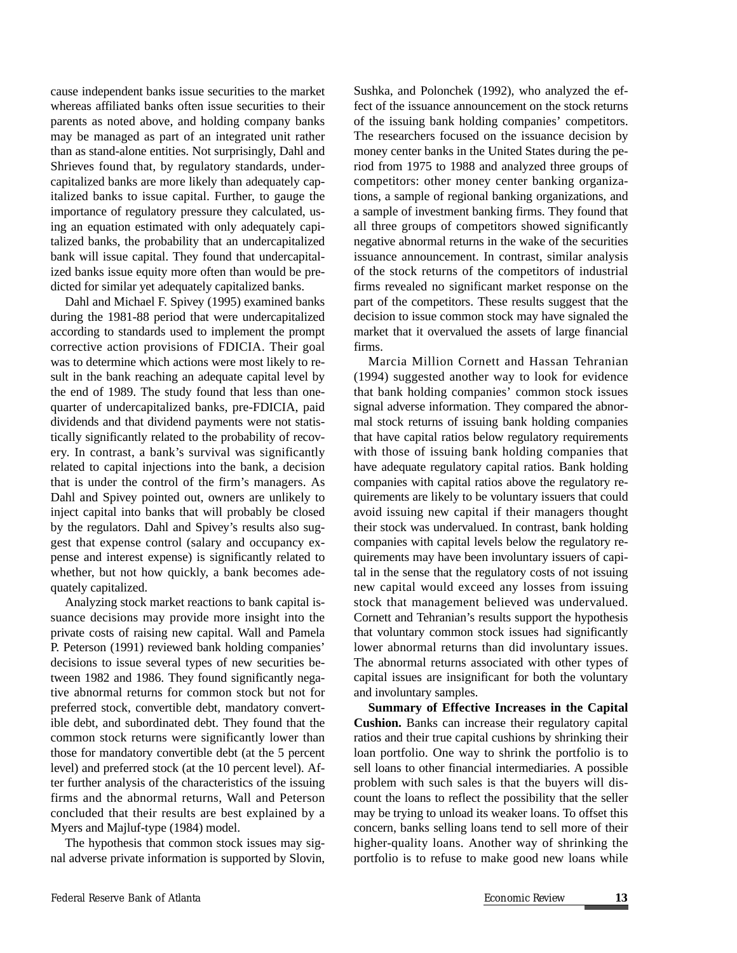cause independent banks issue securities to the market whereas affiliated banks often issue securities to their parents as noted above, and holding company banks may be managed as part of an integrated unit rather than as stand-alone entities. Not surprisingly, Dahl and Shrieves found that, by regulatory standards, undercapitalized banks are more likely than adequately capitalized banks to issue capital. Further, to gauge the importance of regulatory pressure they calculated, using an equation estimated with only adequately capitalized banks, the probability that an undercapitalized bank will issue capital. They found that undercapitalized banks issue equity more often than would be predicted for similar yet adequately capitalized banks.

Dahl and Michael F. Spivey (1995) examined banks during the 1981-88 period that were undercapitalized according to standards used to implement the prompt corrective action provisions of FDICIA. Their goal was to determine which actions were most likely to result in the bank reaching an adequate capital level by the end of 1989. The study found that less than onequarter of undercapitalized banks, pre-FDICIA, paid dividends and that dividend payments were not statistically significantly related to the probability of recovery. In contrast, a bank's survival was significantly related to capital injections into the bank, a decision that is under the control of the firm's managers. As Dahl and Spivey pointed out, owners are unlikely to inject capital into banks that will probably be closed by the regulators. Dahl and Spivey's results also suggest that expense control (salary and occupancy expense and interest expense) is significantly related to whether, but not how quickly, a bank becomes adequately capitalized.

Analyzing stock market reactions to bank capital issuance decisions may provide more insight into the private costs of raising new capital. Wall and Pamela P. Peterson (1991) reviewed bank holding companies' decisions to issue several types of new securities between 1982 and 1986. They found significantly negative abnormal returns for common stock but not for preferred stock, convertible debt, mandatory convertible debt, and subordinated debt. They found that the common stock returns were significantly lower than those for mandatory convertible debt (at the 5 percent level) and preferred stock (at the 10 percent level). After further analysis of the characteristics of the issuing firms and the abnormal returns, Wall and Peterson concluded that their results are best explained by a Myers and Majluf-type (1984) model.

The hypothesis that common stock issues may signal adverse private information is supported by Slovin,

Sushka, and Polonchek (1992), who analyzed the effect of the issuance announcement on the stock returns of the issuing bank holding companies' competitors. The researchers focused on the issuance decision by money center banks in the United States during the period from 1975 to 1988 and analyzed three groups of competitors: other money center banking organizations, a sample of regional banking organizations, and a sample of investment banking firms. They found that all three groups of competitors showed significantly negative abnormal returns in the wake of the securities issuance announcement. In contrast, similar analysis of the stock returns of the competitors of industrial firms revealed no significant market response on the part of the competitors. These results suggest that the decision to issue common stock may have signaled the market that it overvalued the assets of large financial firms.

Marcia Million Cornett and Hassan Tehranian (1994) suggested another way to look for evidence that bank holding companies' common stock issues signal adverse information. They compared the abnormal stock returns of issuing bank holding companies that have capital ratios below regulatory requirements with those of issuing bank holding companies that have adequate regulatory capital ratios. Bank holding companies with capital ratios above the regulatory requirements are likely to be voluntary issuers that could avoid issuing new capital if their managers thought their stock was undervalued. In contrast, bank holding companies with capital levels below the regulatory requirements may have been involuntary issuers of capital in the sense that the regulatory costs of not issuing new capital would exceed any losses from issuing stock that management believed was undervalued. Cornett and Tehranian's results support the hypothesis that voluntary common stock issues had significantly lower abnormal returns than did involuntary issues. The abnormal returns associated with other types of capital issues are insignificant for both the voluntary and involuntary samples.

**Summary of Effective Increases in the Capital Cushion.** Banks can increase their regulatory capital ratios and their true capital cushions by shrinking their loan portfolio. One way to shrink the portfolio is to sell loans to other financial intermediaries. A possible problem with such sales is that the buyers will discount the loans to reflect the possibility that the seller may be trying to unload its weaker loans. To offset this concern, banks selling loans tend to sell more of their higher-quality loans. Another way of shrinking the portfolio is to refuse to make good new loans while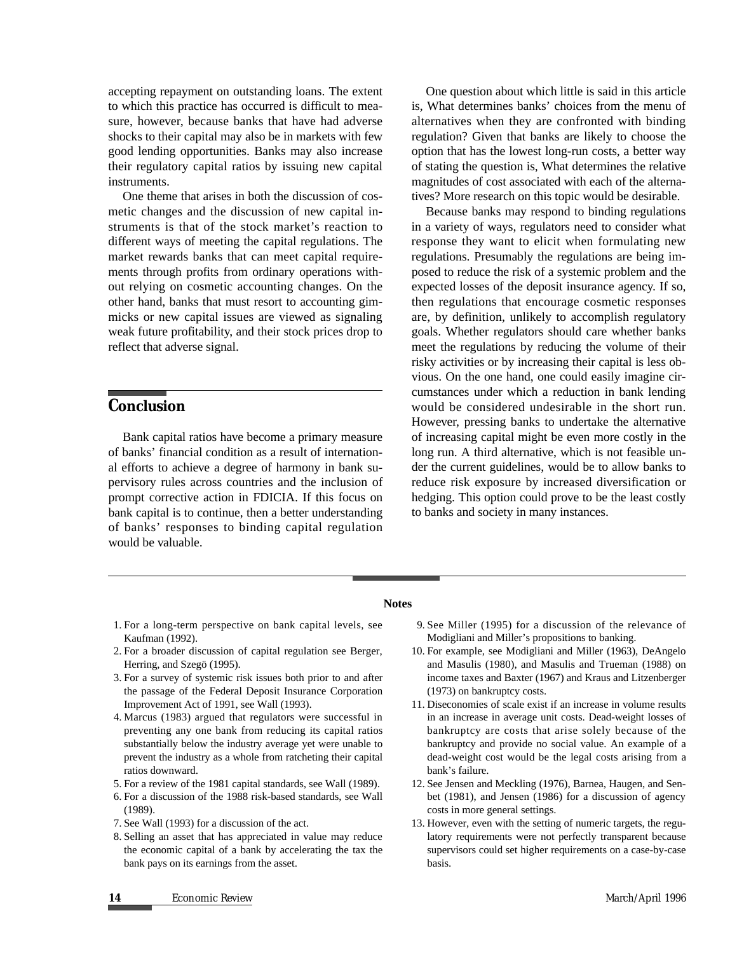accepting repayment on outstanding loans. The extent to which this practice has occurred is difficult to measure, however, because banks that have had adverse shocks to their capital may also be in markets with few good lending opportunities. Banks may also increase their regulatory capital ratios by issuing new capital instruments.

One theme that arises in both the discussion of cosmetic changes and the discussion of new capital instruments is that of the stock market's reaction to different ways of meeting the capital regulations. The market rewards banks that can meet capital requirements through profits from ordinary operations without relying on cosmetic accounting changes. On the other hand, banks that must resort to accounting gimmicks or new capital issues are viewed as signaling weak future profitability, and their stock prices drop to reflect that adverse signal.

## *C***onclusion**

Bank capital ratios have become a primary measure of banks' financial condition as a result of international efforts to achieve a degree of harmony in bank supervisory rules across countries and the inclusion of prompt corrective action in FDICIA. If this focus on bank capital is to continue, then a better understanding of banks' responses to binding capital regulation would be valuable.

One question about which little is said in this article is, What determines banks' choices from the menu of alternatives when they are confronted with binding regulation? Given that banks are likely to choose the option that has the lowest long-run costs, a better way of stating the question is, What determines the relative magnitudes of cost associated with each of the alternatives? More research on this topic would be desirable.

Because banks may respond to binding regulations in a variety of ways, regulators need to consider what response they want to elicit when formulating new regulations. Presumably the regulations are being imposed to reduce the risk of a systemic problem and the expected losses of the deposit insurance agency. If so, then regulations that encourage cosmetic responses are, by definition, unlikely to accomplish regulatory goals. Whether regulators should care whether banks meet the regulations by reducing the volume of their risky activities or by increasing their capital is less obvious. On the one hand, one could easily imagine circumstances under which a reduction in bank lending would be considered undesirable in the short run. However, pressing banks to undertake the alternative of increasing capital might be even more costly in the long run. A third alternative, which is not feasible under the current guidelines, would be to allow banks to reduce risk exposure by increased diversification or hedging. This option could prove to be the least costly to banks and society in many instances.

#### **Notes**

- 1. For a long-term perspective on bank capital levels, see Kaufman (1992).
- 2. For a broader discussion of capital regulation see Berger, Herring, and Szegö (1995).
- 3. For a survey of systemic risk issues both prior to and after the passage of the Federal Deposit Insurance Corporation Improvement Act of 1991, see Wall (1993).
- 4. Marcus (1983) argued that regulators were successful in preventing any one bank from reducing its capital ratios substantially below the industry average yet were unable to prevent the industry as a whole from ratcheting their capital ratios downward.
- 5. For a review of the 1981 capital standards, see Wall (1989).
- 6. For a discussion of the 1988 risk-based standards, see Wall (1989).
- 7. See Wall (1993) for a discussion of the act.
- 8. Selling an asset that has appreciated in value may reduce the economic capital of a bank by accelerating the tax the bank pays on its earnings from the asset.
- 9. See Miller (1995) for a discussion of the relevance of Modigliani and Miller's propositions to banking.
- 10. For example, see Modigliani and Miller (1963), DeAngelo and Masulis (1980), and Masulis and Trueman (1988) on income taxes and Baxter (1967) and Kraus and Litzenberger (1973) on bankruptcy costs.
- 11. Diseconomies of scale exist if an increase in volume results in an increase in average unit costs. Dead-weight losses of bankruptcy are costs that arise solely because of the bankruptcy and provide no social value. An example of a dead-weight cost would be the legal costs arising from a bank's failure.
- 12. See Jensen and Meckling (1976), Barnea, Haugen, and Senbet (1981), and Jensen (1986) for a discussion of agency costs in more general settings.
- 13. However, even with the setting of numeric targets, the regulatory requirements were not perfectly transparent because supervisors could set higher requirements on a case-by-case basis.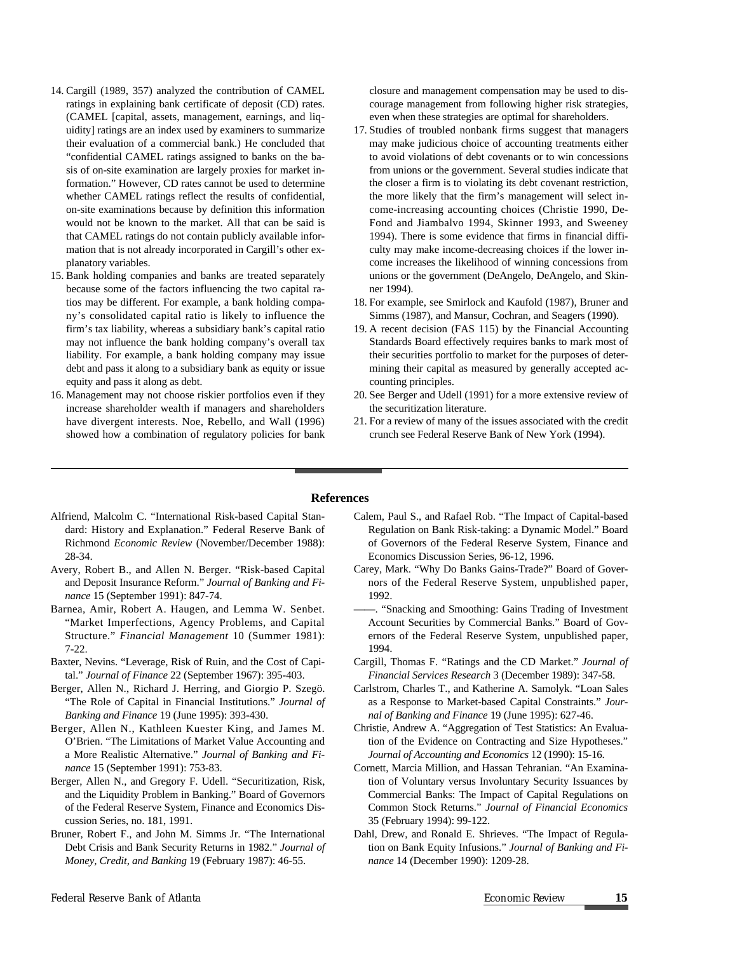- 14. Cargill (1989, 357) analyzed the contribution of CAMEL ratings in explaining bank certificate of deposit (CD) rates. (CAMEL [capital, assets, management, earnings, and liquidity] ratings are an index used by examiners to summarize their evaluation of a commercial bank.) He concluded that "confidential CAMEL ratings assigned to banks on the basis of on-site examination are largely proxies for market information." However, CD rates cannot be used to determine whether CAMEL ratings reflect the results of confidential, on-site examinations because by definition this information would not be known to the market. All that can be said is that CAMEL ratings do not contain publicly available information that is not already incorporated in Cargill's other explanatory variables.
- 15. Bank holding companies and banks are treated separately because some of the factors influencing the two capital ratios may be different. For example, a bank holding company's consolidated capital ratio is likely to influence the firm's tax liability, whereas a subsidiary bank's capital ratio may not influence the bank holding company's overall tax liability. For example, a bank holding company may issue debt and pass it along to a subsidiary bank as equity or issue equity and pass it along as debt.
- 16. Management may not choose riskier portfolios even if they increase shareholder wealth if managers and shareholders have divergent interests. Noe, Rebello, and Wall (1996) showed how a combination of regulatory policies for bank

closure and management compensation may be used to discourage management from following higher risk strategies, even when these strategies are optimal for shareholders.

- 17. Studies of troubled nonbank firms suggest that managers may make judicious choice of accounting treatments either to avoid violations of debt covenants or to win concessions from unions or the government. Several studies indicate that the closer a firm is to violating its debt covenant restriction, the more likely that the firm's management will select income-increasing accounting choices (Christie 1990, De-Fond and Jiambalvo 1994, Skinner 1993, and Sweeney 1994). There is some evidence that firms in financial difficulty may make income-decreasing choices if the lower income increases the likelihood of winning concessions from unions or the government (DeAngelo, DeAngelo, and Skinner 1994).
- 18. For example, see Smirlock and Kaufold (1987), Bruner and Simms (1987), and Mansur, Cochran, and Seagers (1990).
- 19. A recent decision (FAS 115) by the Financial Accounting Standards Board effectively requires banks to mark most of their securities portfolio to market for the purposes of determining their capital as measured by generally accepted accounting principles.
- 20. See Berger and Udell (1991) for a more extensive review of the securitization literature.
- 21. For a review of many of the issues associated with the credit crunch see Federal Reserve Bank of New York (1994).

#### **References**

- Alfriend, Malcolm C. "International Risk-based Capital Standard: History and Explanation." Federal Reserve Bank of Richmond *Economic Review* (November/December 1988): 28-34.
- Avery, Robert B., and Allen N. Berger. "Risk-based Capital and Deposit Insurance Reform." *Journal of Banking and Finance* 15 (September 1991): 847-74.
- Barnea, Amir, Robert A. Haugen, and Lemma W. Senbet. "Market Imperfections, Agency Problems, and Capital Structure." *Financial Management* 10 (Summer 1981): 7-22.
- Baxter, Nevins. "Leverage, Risk of Ruin, and the Cost of Capital." *Journal of Finance* 22 (September 1967): 395-403.
- Berger, Allen N., Richard J. Herring, and Giorgio P. Szegö. "The Role of Capital in Financial Institutions." *Journal of Banking and Finance* 19 (June 1995): 393-430.
- Berger, Allen N., Kathleen Kuester King, and James M. O'Brien. "The Limitations of Market Value Accounting and a More Realistic Alternative." *Journal of Banking and Finance* 15 (September 1991): 753-83.
- Berger, Allen N., and Gregory F. Udell. "Securitization, Risk, and the Liquidity Problem in Banking." Board of Governors of the Federal Reserve System, Finance and Economics Discussion Series, no. 181, 1991.
- Bruner, Robert F., and John M. Simms Jr. "The International Debt Crisis and Bank Security Returns in 1982." *Journal of Money, Credit, and Banking* 19 (February 1987): 46-55.
- Calem, Paul S., and Rafael Rob. "The Impact of Capital-based Regulation on Bank Risk-taking: a Dynamic Model." Board of Governors of the Federal Reserve System, Finance and Economics Discussion Series, 96-12, 1996.
- Carey, Mark. "Why Do Banks Gains-Trade?" Board of Governors of the Federal Reserve System, unpublished paper, 1992.
- ——. "Snacking and Smoothing: Gains Trading of Investment Account Securities by Commercial Banks." Board of Governors of the Federal Reserve System, unpublished paper, 1994.
- Cargill, Thomas F. "Ratings and the CD Market." *Journal of Financial Services Research* 3 (December 1989): 347-58.
- Carlstrom, Charles T., and Katherine A. Samolyk. "Loan Sales as a Response to Market-based Capital Constraints." *Journal of Banking and Finance* 19 (June 1995): 627-46.
- Christie, Andrew A. "Aggregation of Test Statistics: An Evaluation of the Evidence on Contracting and Size Hypotheses." *Journal of Accounting and Economics* 12 (1990): 15-16.
- Cornett, Marcia Million, and Hassan Tehranian. "An Examination of Voluntary versus Involuntary Security Issuances by Commercial Banks: The Impact of Capital Regulations on Common Stock Returns." *Journal of Financial Economics* 35 (February 1994): 99-122.
- Dahl, Drew, and Ronald E. Shrieves. "The Impact of Regulation on Bank Equity Infusions." *Journal of Banking and Finance* 14 (December 1990): 1209-28.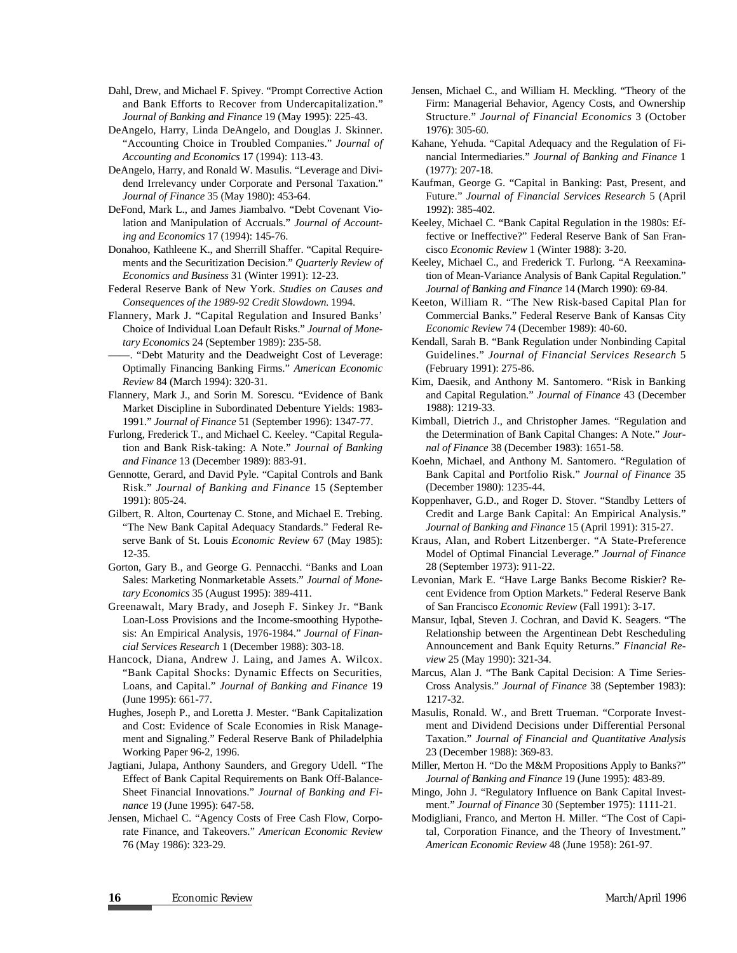Dahl, Drew, and Michael F. Spivey. "Prompt Corrective Action and Bank Efforts to Recover from Undercapitalization." *Journal of Banking and Finance* 19 (May 1995): 225-43.

DeAngelo, Harry, Linda DeAngelo, and Douglas J. Skinner. "Accounting Choice in Troubled Companies." *Journal of Accounting and Economics* 17 (1994): 113-43.

DeAngelo, Harry, and Ronald W. Masulis. "Leverage and Dividend Irrelevancy under Corporate and Personal Taxation." *Journal of Finance* 35 (May 1980): 453-64.

DeFond, Mark L., and James Jiambalvo. "Debt Covenant Violation and Manipulation of Accruals." *Journal of Accounting and Economics* 17 (1994): 145-76.

Donahoo, Kathleene K., and Sherrill Shaffer. "Capital Requirements and the Securitization Decision." *Quarterly Review of Economics and Business* 31 (Winter 1991): 12-23.

Federal Reserve Bank of New York. *Studies on Causes and Consequences of the 1989-92 Credit Slowdown.* 1994.

Flannery, Mark J. "Capital Regulation and Insured Banks' Choice of Individual Loan Default Risks." *Journal of Monetary Economics* 24 (September 1989): 235-58.

——. "Debt Maturity and the Deadweight Cost of Leverage: Optimally Financing Banking Firms." *American Economic Review* 84 (March 1994): 320-31.

Flannery, Mark J., and Sorin M. Sorescu. "Evidence of Bank Market Discipline in Subordinated Debenture Yields: 1983- 1991." *Journal of Finance* 51 (September 1996): 1347-77.

Furlong, Frederick T., and Michael C. Keeley. "Capital Regulation and Bank Risk-taking: A Note." *Journal of Banking and Finance* 13 (December 1989): 883-91.

Gennotte, Gerard, and David Pyle. "Capital Controls and Bank Risk." *Journal of Banking and Finance* 15 (September 1991): 805-24.

Gilbert, R. Alton, Courtenay C. Stone, and Michael E. Trebing. "The New Bank Capital Adequacy Standards." Federal Reserve Bank of St. Louis *Economic Review* 67 (May 1985): 12-35.

Gorton, Gary B., and George G. Pennacchi. "Banks and Loan Sales: Marketing Nonmarketable Assets." *Journal of Monetary Economics* 35 (August 1995): 389-411.

Greenawalt, Mary Brady, and Joseph F. Sinkey Jr. "Bank Loan-Loss Provisions and the Income-smoothing Hypothesis: An Empirical Analysis, 1976-1984." *Journal of Financial Services Research* 1 (December 1988): 303-18.

Hancock, Diana, Andrew J. Laing, and James A. Wilcox. "Bank Capital Shocks: Dynamic Effects on Securities, Loans, and Capital." *Journal of Banking and Finance* 19 (June 1995): 661-77.

Hughes, Joseph P., and Loretta J. Mester. "Bank Capitalization and Cost: Evidence of Scale Economies in Risk Management and Signaling." Federal Reserve Bank of Philadelphia Working Paper 96-2, 1996.

Jagtiani, Julapa, Anthony Saunders, and Gregory Udell. "The Effect of Bank Capital Requirements on Bank Off-Balance-Sheet Financial Innovations." *Journal of Banking and Finance* 19 (June 1995): 647-58.

Jensen, Michael C. "Agency Costs of Free Cash Flow, Corporate Finance, and Takeovers." *American Economic Review* 76 (May 1986): 323-29.

Jensen, Michael C., and William H. Meckling. "Theory of the Firm: Managerial Behavior, Agency Costs, and Ownership Structure." *Journal of Financial Economics* 3 (October 1976): 305-60.

Kahane, Yehuda. "Capital Adequacy and the Regulation of Financial Intermediaries." *Journal of Banking and Finance* 1 (1977): 207-18.

Kaufman, George G. "Capital in Banking: Past, Present, and Future." *Journal of Financial Services Research* 5 (April 1992): 385-402.

Keeley, Michael C. "Bank Capital Regulation in the 1980s: Effective or Ineffective?" Federal Reserve Bank of San Francisco *Economic Review* 1 (Winter 1988): 3-20.

Keeley, Michael C., and Frederick T. Furlong. "A Reexamination of Mean-Variance Analysis of Bank Capital Regulation." *Journal of Banking and Finance* 14 (March 1990): 69-84.

Keeton, William R. "The New Risk-based Capital Plan for Commercial Banks." Federal Reserve Bank of Kansas City *Economic Review* 74 (December 1989): 40-60.

Kendall, Sarah B. "Bank Regulation under Nonbinding Capital Guidelines." *Journal of Financial Services Research* 5 (February 1991): 275-86.

Kim, Daesik, and Anthony M. Santomero. "Risk in Banking and Capital Regulation." *Journal of Finance* 43 (December 1988): 1219-33.

Kimball, Dietrich J., and Christopher James. "Regulation and the Determination of Bank Capital Changes: A Note." *Journal of Finance* 38 (December 1983): 1651-58.

Koehn, Michael, and Anthony M. Santomero. "Regulation of Bank Capital and Portfolio Risk." *Journal of Finance* 35 (December 1980): 1235-44.

Koppenhaver, G.D., and Roger D. Stover. "Standby Letters of Credit and Large Bank Capital: An Empirical Analysis." *Journal of Banking and Finance* 15 (April 1991): 315-27.

Kraus, Alan, and Robert Litzenberger. "A State-Preference Model of Optimal Financial Leverage." *Journal of Finance* 28 (September 1973): 911-22.

Levonian, Mark E. "Have Large Banks Become Riskier? Recent Evidence from Option Markets." Federal Reserve Bank of San Francisco *Economic Review* (Fall 1991): 3-17.

Mansur, Iqbal, Steven J. Cochran, and David K. Seagers. "The Relationship between the Argentinean Debt Rescheduling Announcement and Bank Equity Returns." *Financial Review* 25 (May 1990): 321-34.

Marcus, Alan J. "The Bank Capital Decision: A Time Series-Cross Analysis." *Journal of Finance* 38 (September 1983): 1217-32.

Masulis, Ronald. W., and Brett Trueman. "Corporate Investment and Dividend Decisions under Differential Personal Taxation." *Journal of Financial and Quantitative Analysis* 23 (December 1988): 369-83.

Miller, Merton H. "Do the M&M Propositions Apply to Banks?" *Journal of Banking and Finance* 19 (June 1995): 483-89.

Mingo, John J. "Regulatory Influence on Bank Capital Investment." *Journal of Finance* 30 (September 1975): 1111-21.

Modigliani, Franco, and Merton H. Miller. "The Cost of Capital, Corporation Finance, and the Theory of Investment." *American Economic Review* 48 (June 1958): 261-97.